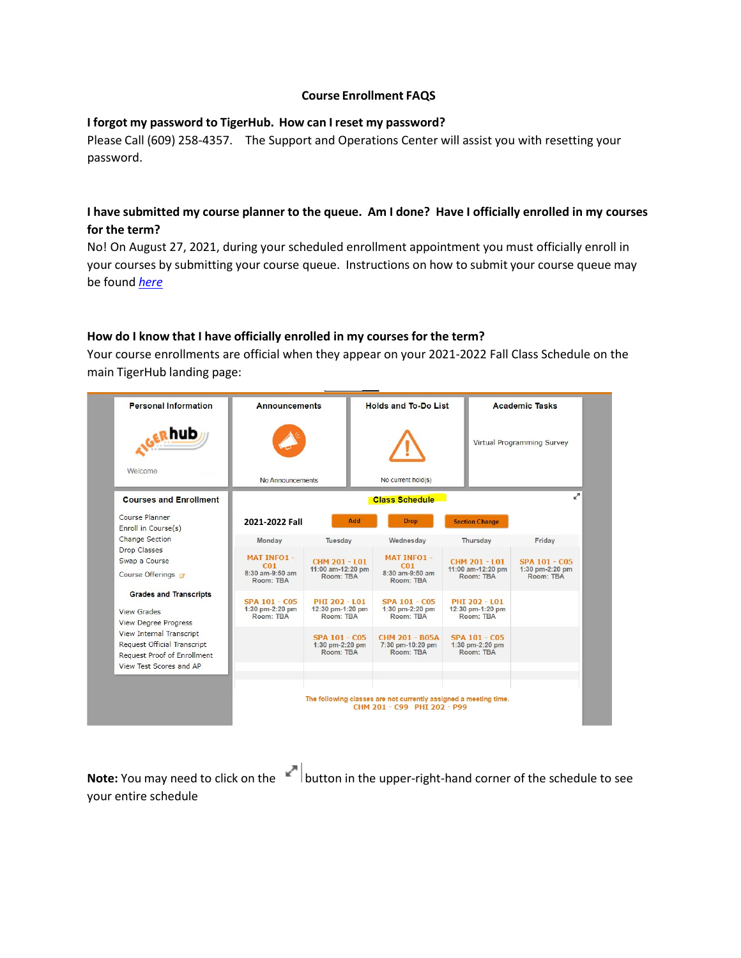#### **Course Enrollment FAQS**

#### **I forgot my password to TigerHub. How can I reset my password?**

Please Call (609) 258-4357. The Support and Operations Center will assist you with resetting your password.

## **I have submitted my course planner to the queue. Am I done? Have I officially enrolled in my courses for the term?**

No! On August 27, 2021, during your scheduled enrollment appointment you must officially enroll in your courses by submitting your course queue. Instructions on how to submit your course queue may be found *[here](https://registrar.princeton.edu/sites/g/files/toruqf136/files/2020-08/Submit%20Course%20Queue.pdf)*

## **How do I know that I have officially enrolled in my courses for the term?**

Your course enrollments are official when they appear on your 2021-2022 Fall Class Schedule on the main TigerHub landing page:

| <b>Personal Information</b>                                                                                                                                                                                                                                                              | <b>Announcements</b>                                                                            |                                                      | <b>Holds and To-Do List</b>                                                |                                                 | <b>Academic Tasks</b>                                |                                                      |
|------------------------------------------------------------------------------------------------------------------------------------------------------------------------------------------------------------------------------------------------------------------------------------------|-------------------------------------------------------------------------------------------------|------------------------------------------------------|----------------------------------------------------------------------------|-------------------------------------------------|------------------------------------------------------|------------------------------------------------------|
| <b>hub</b><br>Welcome                                                                                                                                                                                                                                                                    | No Announcements                                                                                |                                                      | No current hold(s)                                                         |                                                 | Virtual Programming Survey                           |                                                      |
| <b>Courses and Enrollment</b>                                                                                                                                                                                                                                                            | ↗<br><b>Class Schedule</b>                                                                      |                                                      |                                                                            |                                                 |                                                      |                                                      |
| Course Planner<br>Enroll in Course(s)                                                                                                                                                                                                                                                    | 2021-2022 Fall                                                                                  | Add                                                  | <b>Drop</b>                                                                |                                                 | <b>Section Change</b>                                |                                                      |
| <b>Change Section</b><br><b>Drop Classes</b><br>Swap a Course<br>Course Offerings <b>B</b><br><b>Grades and Transcripts</b><br><b>View Grades</b><br><b>View Degree Progress</b><br><b>View Internal Transcript</b><br><b>Request Official Transcript</b><br>Request Proof of Enrollment | Monday                                                                                          | Tuesday                                              | Wednesday                                                                  |                                                 | Thursday                                             | Friday                                               |
|                                                                                                                                                                                                                                                                                          | <b>MAT INFO1 -</b><br>CO1<br>$8:30$ am- $9:50$ am<br>Room: TBA                                  | CHM 201 - L01<br>11:00 am-12:20 pm<br>Room: TBA      | <b>MAT INFO1 -</b><br>C <sub>01</sub><br>$8:30$ am- $9:50$ am<br>Room: TBA | CHM 201 - L01<br>11:00 am-12:20 pm<br>Room: TBA |                                                      | <b>SPA 101 - C05</b><br>1:30 pm-2:20 pm<br>Room: TBA |
|                                                                                                                                                                                                                                                                                          | <b>SPA 101 - C05</b><br>1:30 pm-2:20 pm<br>Room: TBA                                            | PHI 202 - L01<br>12:30 pm-1:20 pm<br>Room: TBA       | <b>SPA 101 - C05</b><br>$1:30$ pm-2:20 pm<br>Room: TBA                     |                                                 | PHI 202 - L01<br>12:30 pm-1:20 pm<br>Room: TBA       |                                                      |
|                                                                                                                                                                                                                                                                                          |                                                                                                 | <b>SPA 101 - C05</b><br>1:30 pm-2:20 pm<br>Room: TBA | CHM 201 - B05A<br>7:30 pm-10:20 pm<br>Room: TBA                            |                                                 | <b>SPA 101 - C05</b><br>1:30 pm-2:20 pm<br>Room: TBA |                                                      |
| View Test Scores and AP                                                                                                                                                                                                                                                                  |                                                                                                 |                                                      |                                                                            |                                                 |                                                      |                                                      |
|                                                                                                                                                                                                                                                                                          | The following classes are not currently assigned a meeting time.<br>CHM 201 - C99 PHT 202 - P99 |                                                      |                                                                            |                                                 |                                                      |                                                      |

your entire schedule

**Note:** You may need to click on the **button** in the upper-right-hand corner of the schedule to see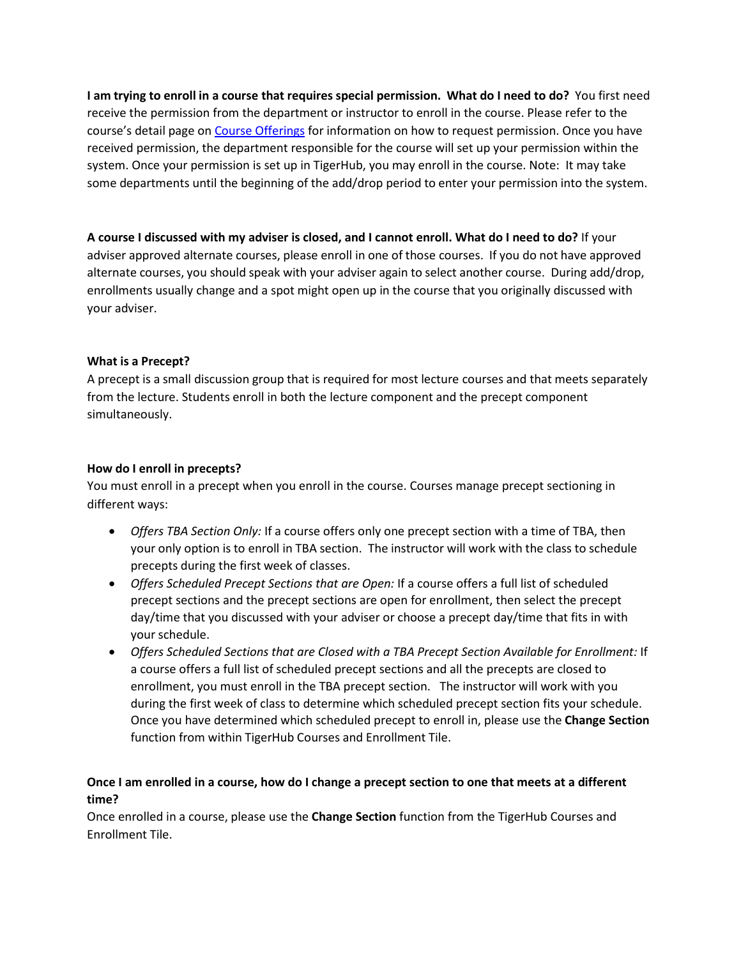I am trying to enroll in a course that requires special permission. What do I need to do? You first need receive the permission from the department or instructor to enroll in the course. Please refer to the course's detail page on [Course Offerings](https://registrar.princeton.edu/course-offerings) for information on how to request permission. Once you have received permission, the department responsible for the course will set up your permission within the system. Once your permission is set up in TigerHub, you may enroll in the course. Note: It may take some departments until the beginning of the add/drop period to enter your permission into the system.

**A course I discussed with my adviser is closed, and I cannot enroll. What do I need to do?** If your adviser approved alternate courses, please enroll in one of those courses. If you do not have approved alternate courses, you should speak with your adviser again to select another course. During add/drop, enrollments usually change and a spot might open up in the course that you originally discussed with your adviser.

### **What is a Precept?**

A precept is a small discussion group that is required for most lecture courses and that meets separately from the lecture. Students enroll in both the lecture component and the precept component simultaneously.

### **How do I enroll in precepts?**

You must enroll in a precept when you enroll in the course. Courses manage precept sectioning in different ways:

- *Offers TBA Section Only:* If a course offers only one precept section with a time of TBA, then your only option is to enroll in TBA section. The instructor will work with the class to schedule precepts during the first week of classes.
- *Offers Scheduled Precept Sections that are Open:* If a course offers a full list of scheduled precept sections and the precept sections are open for enrollment, then select the precept day/time that you discussed with your adviser or choose a precept day/time that fits in with your schedule.
- *Offers Scheduled Sections that are Closed with a TBA Precept Section Available for Enrollment:* If a course offers a full list of scheduled precept sections and all the precepts are closed to enrollment, you must enroll in the TBA precept section. The instructor will work with you during the first week of class to determine which scheduled precept section fits your schedule. Once you have determined which scheduled precept to enroll in, please use the **Change Section** function from within TigerHub Courses and Enrollment Tile.

# **Once I am enrolled in a course, how do I change a precept section to one that meets at a different time?**

Once enrolled in a course, please use the **Change Section** function from the TigerHub Courses and Enrollment Tile.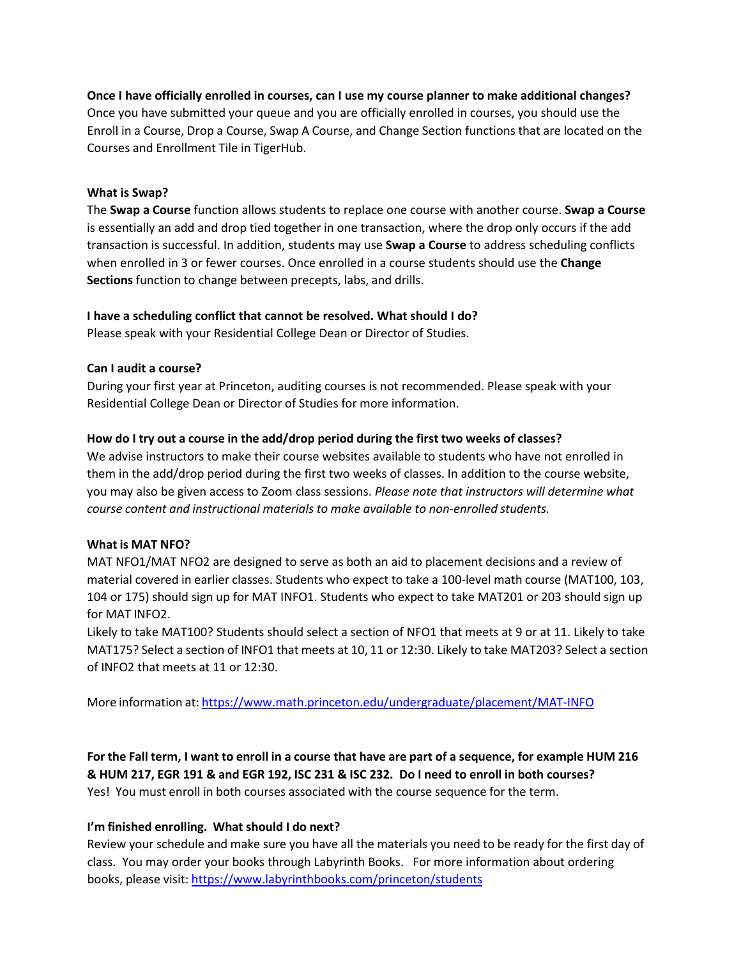#### **Once I have officially enrolled in courses, can I use my course planner to make additional changes?** Once you have submitted your queue and you are officially enrolled in courses, you should use the

Enroll in a Course, Drop a Course, Swap A Course, and Change Section functions that are located on the Courses and Enrollment Tile in TigerHub.

### **What is Swap?**

The **Swap a Course** function allows students to replace one course with another course. **Swap a Course** is essentially an add and drop tied together in one transaction, where the drop only occurs if the add transaction is successful. In addition, students may use **Swap a Course** to address scheduling conflicts when enrolled in 3 or fewer courses. Once enrolled in a course students should use the **Change Sections** function to change between precepts, labs, and drills.

### **I have a scheduling conflict that cannot be resolved. What should I do?**

Please speak with your Residential College Dean or Director of Studies.

## **Can I audit a course?**

During your first year at Princeton, auditing courses is not recommended. Please speak with your Residential College Dean or Director of Studies for more information.

### **How do I try out a course in the add/drop period during the first two weeks of classes?**

We advise instructors to make their course websites available to students who have not enrolled in them in the add/drop period during the first two weeks of classes. In addition to the course website, you may also be given access to Zoom class sessions. *Please note that instructors will determine what course content and instructional materials to make available to non-enrolled students.*

#### **What is MAT NFO?**

MAT NFO1/MAT NFO2 are designed to serve as both an aid to placement decisions and a review of material covered in earlier classes. Students who expect to take a 100-level math course (MAT100, 103, 104 or 175) should sign up for MAT INFO1. Students who expect to take MAT201 or 203 should sign up for MAT INFO2.

Likely to take MAT100? Students should select a section of NFO1 that meets at 9 or at 11. Likely to take MAT175? Select a section of INFO1 that meets at 10, 11 or 12:30. Likely to take [MAT203?](https://www.math.princeton.edu/undergraduate/placement/MAT-INFO) Select a section of INFO2 that meets at 11 or [12:30.](https://www.math.princeton.edu/undergraduate/placement/MAT-INFO)

More information at: [https://www.math.princeton.edu/undergraduate/placement/MAT-](http://www.math.princeton.edu/undergraduate/placement/MAT-INFO)INFO

For the Fall term, I want to enroll in a course that have are part of a sequence, for example HUM 216 & HUM 217, EGR 191 & and EGR 192, ISC 231 & ISC 232. Do I need to enroll in both courses? Yes! You must enroll in both courses associated with the course sequence for the term.

## **I'm finished enrolling. What should I do next?**

Review your schedule and make sure you have all the materials you need to be ready for the first day of class. You may order [your books through Labyrinth Books. For more in](https://www.labyrinthbooks.com/princeton/students)formation about ordering books, please visit: [https://www.labyrinthbooks.com/princeton/students](http://www.labyrinthbooks.com/princeton/students)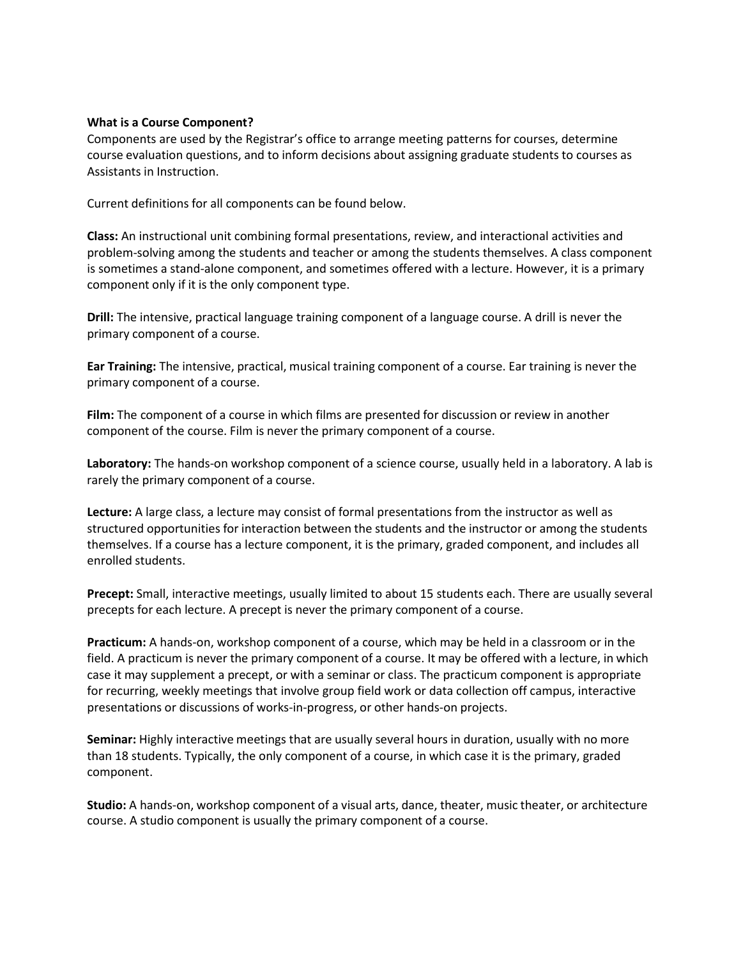#### **What is a Course Component?**

Components are used by the Registrar's office to arrange meeting patterns for courses, determine course evaluation questions, and to inform decisions about assigning graduate students to courses as Assistants in Instruction.

Current definitions for all components can be found below.

**Class:** An instructional unit combining formal presentations, review, and interactional activities and problem-solving among the students and teacher or among the students themselves. A class component is sometimes a stand-alone component, and sometimes offered with a lecture. However, it is a primary component only if it is the only component type.

**Drill:** The intensive, practical language training component of a language course. A drill is never the primary component of a course.

**Ear Training:** The intensive, practical, musical training component of a course. Ear training is never the primary component of a course.

**Film:** The component of a course in which films are presented for discussion or review in another component of the course. Film is never the primary component of a course.

**Laboratory:** The hands-on workshop component of a science course, usually held in a laboratory. A lab is rarely the primary component of a course.

**Lecture:** A large class, a lecture may consist of formal presentations from the instructor as well as structured opportunities for interaction between the students and the instructor or among the students themselves. If a course has a lecture component, it is the primary, graded component, and includes all enrolled students.

**Precept:** Small, interactive meetings, usually limited to about 15 students each. There are usually several precepts for each lecture. A precept is never the primary component of a course.

**Practicum:** A hands-on, workshop component of a course, which may be held in a classroom or in the field. A practicum is never the primary component of a course. It may be offered with a lecture, in which case it may supplement a precept, or with a seminar or class. The practicum component is appropriate for recurring, weekly meetings that involve group field work or data collection off campus, interactive presentations or discussions of works-in-progress, or other hands-on projects.

**Seminar:** Highly interactive meetings that are usually several hours in duration, usually with no more than 18 students. Typically, the only component of a course, in which case it is the primary, graded component.

**Studio:** A hands-on, workshop component of a visual arts, dance, theater, music theater, or architecture course. A studio component is usually the primary component of a course.